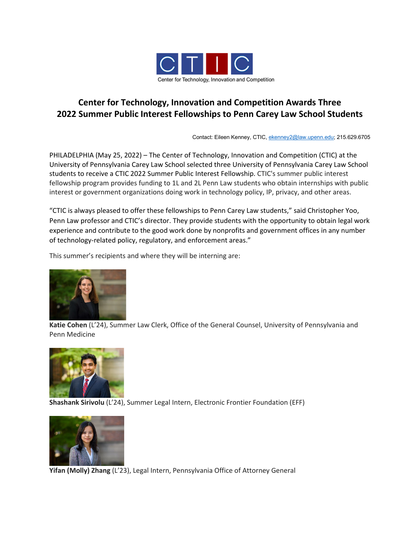

## **Center for Technology, Innovation and Competition Awards Three 2022 Summer Public Interest Fellowships to Penn Carey Law School Students**

Contact: Eileen Kenney, CTIC, [ekenney2@law.upenn.edu;](mailto:ekenney2@law.upenn.edu) 215.629.6705

PHILADELPHIA (May 25, 2022) – The Center of Technology, Innovation and Competition (CTIC) at the University of Pennsylvania Carey Law School selected three University of Pennsylvania Carey Law School students to receive a CTIC 2022 Summer Public Interest Fellowship. CTIC's summer public interest fellowship program provides funding to 1L and 2L Penn Law students who obtain internships with public interest or government organizations doing work in technology policy, IP, privacy, and other areas.

"CTIC is always pleased to offer these fellowships to Penn Carey Law students," said Christopher Yoo, Penn Law professor and CTIC's director. They provide students with the opportunity to obtain legal work experience and contribute to the good work done by nonprofits and government offices in any number of technology-related policy, regulatory, and enforcement areas."

This summer's recipients and where they will be interning are:



**Katie Cohen** (L'24), Summer Law Clerk, Office of the General Counsel, University of Pennsylvania and Penn Medicine



**Shashank Sirivolu** (L'24), Summer Legal Intern, Electronic Frontier Foundation (EFF)



**Yifan (Molly) Zhang** (L'23), Legal Intern, Pennsylvania Office of Attorney General